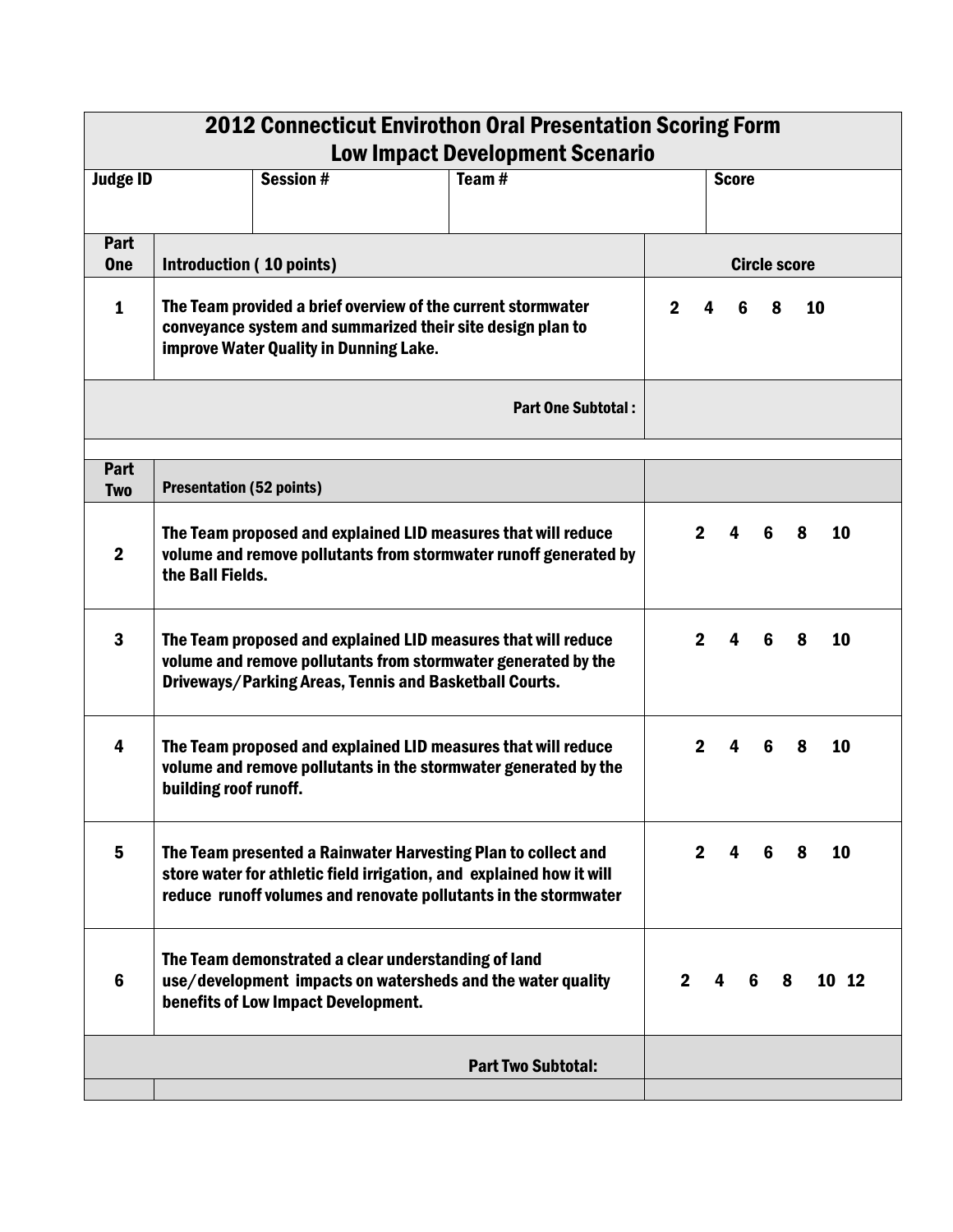| <b>2012 Connecticut Envirothon Oral Presentation Scoring Form</b> |                                                                                                                                                                                          |                                                                                            |   |                                                                                                                                                                                                          |             |                |                         |        |   |       |
|-------------------------------------------------------------------|------------------------------------------------------------------------------------------------------------------------------------------------------------------------------------------|--------------------------------------------------------------------------------------------|---|----------------------------------------------------------------------------------------------------------------------------------------------------------------------------------------------------------|-------------|----------------|-------------------------|--------|---|-------|
| <b>Low Impact Development Scenario</b>                            |                                                                                                                                                                                          |                                                                                            |   |                                                                                                                                                                                                          |             |                |                         |        |   |       |
| <b>Judge ID</b>                                                   |                                                                                                                                                                                          | Session #                                                                                  |   | Tean#                                                                                                                                                                                                    |             |                | <b>Score</b>            |        |   |       |
| Part                                                              |                                                                                                                                                                                          |                                                                                            |   |                                                                                                                                                                                                          |             |                |                         |        |   |       |
| <b>One</b>                                                        | Introduction (10 points)                                                                                                                                                                 | <b>Circle score</b>                                                                        |   |                                                                                                                                                                                                          |             |                |                         |        |   |       |
| $\mathbf{1}$                                                      | The Team provided a brief overview of the current stormwater<br>conveyance system and summarized their site design plan to<br>improve Water Quality in Dunning Lake.                     | 2 <sup>1</sup>                                                                             | 4 | 6                                                                                                                                                                                                        | 8           | 10             |                         |        |   |       |
|                                                                   |                                                                                                                                                                                          |                                                                                            |   | <b>Part One Subtotal:</b>                                                                                                                                                                                |             |                |                         |        |   |       |
| Part<br><b>Two</b>                                                | <b>Presentation (52 points)</b>                                                                                                                                                          |                                                                                            |   |                                                                                                                                                                                                          |             |                |                         |        |   |       |
| $\mathbf 2$                                                       | The Team proposed and explained LID measures that will reduce<br>volume and remove pollutants from stormwater runoff generated by<br>the Ball Fields.                                    |                                                                                            |   |                                                                                                                                                                                                          |             |                | $\overline{\mathbf{4}}$ | -6     | 8 | 10    |
| $\overline{\mathbf{3}}$                                           | The Team proposed and explained LID measures that will reduce<br>volume and remove pollutants from stormwater generated by the<br>Driveways/Parking Areas, Tennis and Basketball Courts. |                                                                                            |   |                                                                                                                                                                                                          |             | $\overline{2}$ | $\overline{\mathbf{4}}$ | 6      | 8 | 10    |
| $\overline{\mathbf{4}}$                                           | The Team proposed and explained LID measures that will reduce<br>volume and remove pollutants in the stormwater generated by the<br>building roof runoff.                                |                                                                                            |   |                                                                                                                                                                                                          |             | $\mathbf{2}$   | $\overline{4}$          | 6      | 8 | 10    |
| 5                                                                 |                                                                                                                                                                                          |                                                                                            |   | The Team presented a Rainwater Harvesting Plan to collect and<br>store water for athletic field irrigation, and explained how it will<br>reduce runoff volumes and renovate pollutants in the stormwater |             | $\mathbf{2}$   | 4                       | 6      | 8 | 10    |
| $6\phantom{1}6$                                                   |                                                                                                                                                                                          | The Team demonstrated a clear understanding of land<br>benefits of Low Impact Development. |   | use/development impacts on watersheds and the water quality                                                                                                                                              | $2^{\circ}$ |                | 4                       | 6<br>8 |   | 10 12 |
|                                                                   |                                                                                                                                                                                          |                                                                                            |   | <b>Part Two Subtotal:</b>                                                                                                                                                                                |             |                |                         |        |   |       |
|                                                                   |                                                                                                                                                                                          |                                                                                            |   |                                                                                                                                                                                                          |             |                |                         |        |   |       |